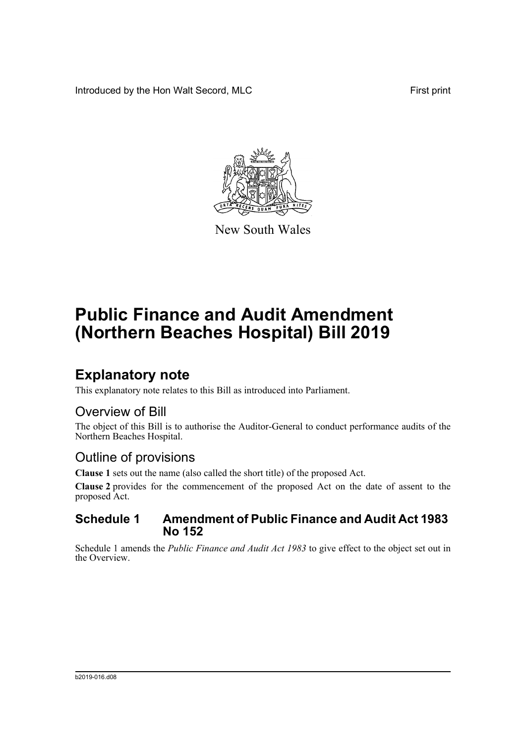Introduced by the Hon Walt Secord, MLC First print



New South Wales

# **Public Finance and Audit Amendment (Northern Beaches Hospital) Bill 2019**

## **Explanatory note**

This explanatory note relates to this Bill as introduced into Parliament.

### Overview of Bill

The object of this Bill is to authorise the Auditor-General to conduct performance audits of the Northern Beaches Hospital.

### Outline of provisions

**Clause 1** sets out the name (also called the short title) of the proposed Act.

**Clause 2** provides for the commencement of the proposed Act on the date of assent to the proposed Act.

#### **Schedule 1 Amendment of Public Finance and Audit Act 1983 No 152**

Schedule 1 amends the *Public Finance and Audit Act 1983* to give effect to the object set out in the Overview.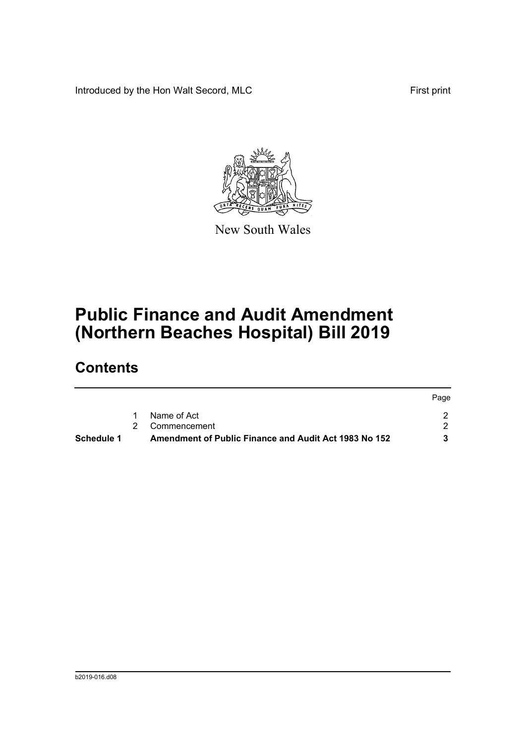Introduced by the Hon Walt Secord, MLC First print



New South Wales

## **Public Finance and Audit Amendment (Northern Beaches Hospital) Bill 2019**

### **Contents**

| <b>Schedule 1</b> | Amendment of Public Finance and Audit Act 1983 No 152 |      |
|-------------------|-------------------------------------------------------|------|
|                   | 2 Commencement                                        |      |
|                   | Name of Act                                           |      |
|                   |                                                       | Page |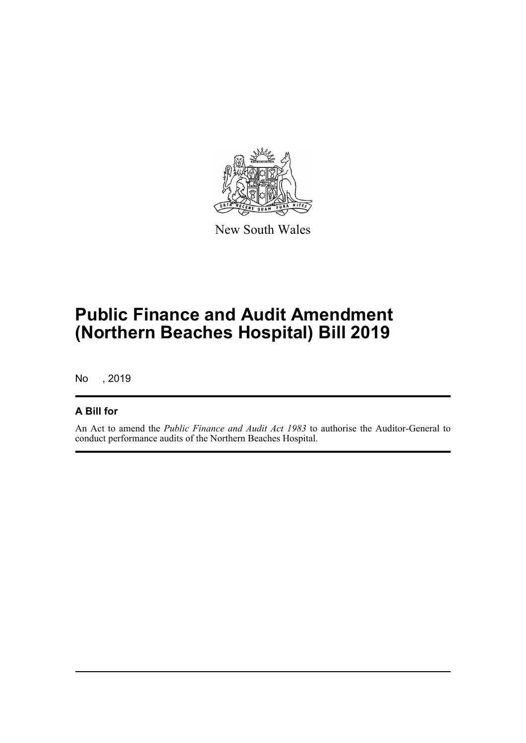

New South Wales

## **Public Finance and Audit Amendment (Northern Beaches Hospital) Bill 2019**

No , 2019

#### **A Bill for**

An Act to amend the *Public Finance and Audit Act 1983* to authorise the Auditor-General to conduct performance audits of the Northern Beaches Hospital.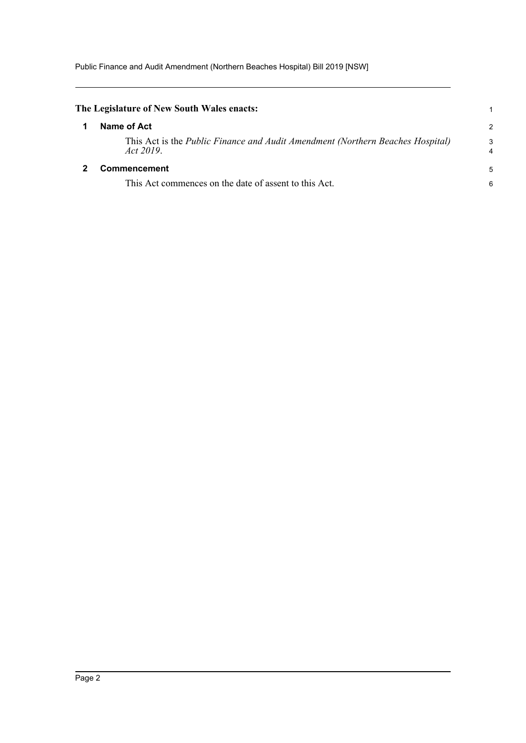<span id="page-3-1"></span><span id="page-3-0"></span>

| The Legislature of New South Wales enacts: |                                                                                                    |               |
|--------------------------------------------|----------------------------------------------------------------------------------------------------|---------------|
|                                            | Name of Act                                                                                        | $\mathcal{P}$ |
|                                            | This Act is the <i>Public Finance and Audit Amendment (Northern Beaches Hospital)</i><br>Act 2019. | 3<br>4        |
|                                            | <b>Commencement</b>                                                                                | 5             |
|                                            | This Act commences on the date of assent to this Act.                                              | 6             |
|                                            |                                                                                                    |               |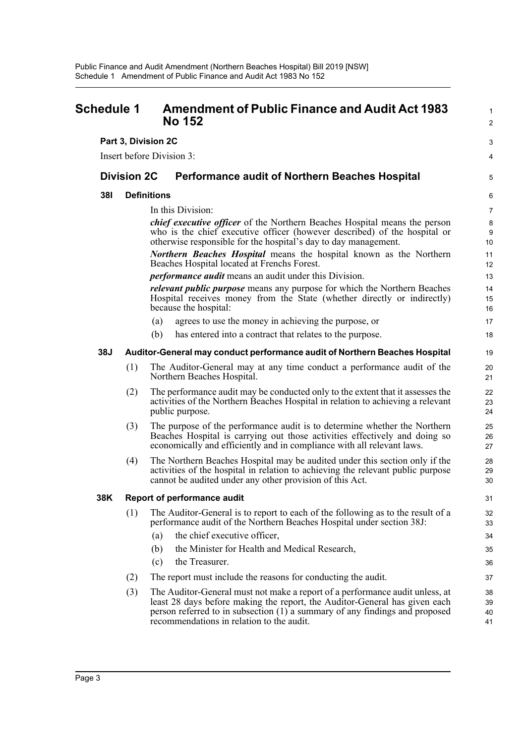<span id="page-4-0"></span>

| <b>Schedule 1</b> |                    | <b>Amendment of Public Finance and Audit Act 1983</b><br><b>No 152</b>                                                                                                                                                                                                                 | $\mathbf{1}$<br>2    |
|-------------------|--------------------|----------------------------------------------------------------------------------------------------------------------------------------------------------------------------------------------------------------------------------------------------------------------------------------|----------------------|
|                   |                    | Part 3, Division 2C                                                                                                                                                                                                                                                                    | 3                    |
|                   |                    | Insert before Division 3:                                                                                                                                                                                                                                                              | 4                    |
|                   | <b>Division 2C</b> | <b>Performance audit of Northern Beaches Hospital</b>                                                                                                                                                                                                                                  | 5                    |
| <b>381</b>        |                    | <b>Definitions</b>                                                                                                                                                                                                                                                                     | 6                    |
|                   |                    | In this Division:                                                                                                                                                                                                                                                                      | $\overline{7}$       |
|                   |                    | <i>chief executive officer</i> of the Northern Beaches Hospital means the person<br>who is the chief executive officer (however described) of the hospital or<br>otherwise responsible for the hospital's day to day management.                                                       | $\bf 8$<br>9<br>10   |
|                   |                    | <b>Northern Beaches Hospital</b> means the hospital known as the Northern<br>Beaches Hospital located at Frenchs Forest.                                                                                                                                                               | 11<br>12             |
|                   |                    | <i>performance audit</i> means an audit under this Division.                                                                                                                                                                                                                           | 13                   |
|                   |                    | relevant public purpose means any purpose for which the Northern Beaches<br>Hospital receives money from the State (whether directly or indirectly)<br>because the hospital:                                                                                                           | 14<br>15<br>16       |
|                   |                    | agrees to use the money in achieving the purpose, or<br>(a)                                                                                                                                                                                                                            | 17                   |
|                   |                    | (b)<br>has entered into a contract that relates to the purpose.                                                                                                                                                                                                                        | 18                   |
| <b>38J</b>        |                    | Auditor-General may conduct performance audit of Northern Beaches Hospital                                                                                                                                                                                                             | 19                   |
|                   | (1)                | The Auditor-General may at any time conduct a performance audit of the<br>Northern Beaches Hospital.                                                                                                                                                                                   | 20<br>21             |
|                   | (2)                | The performance audit may be conducted only to the extent that it assesses the<br>activities of the Northern Beaches Hospital in relation to achieving a relevant<br>public purpose.                                                                                                   | 22<br>23<br>24       |
|                   | (3)                | The purpose of the performance audit is to determine whether the Northern<br>Beaches Hospital is carrying out those activities effectively and doing so<br>economically and efficiently and in compliance with all relevant laws.                                                      | 25<br>26<br>27       |
|                   | (4)                | The Northern Beaches Hospital may be audited under this section only if the<br>activities of the hospital in relation to achieving the relevant public purpose<br>cannot be audited under any other provision of this Act.                                                             | 28<br>29<br>30       |
| 38K               |                    | Report of performance audit                                                                                                                                                                                                                                                            | 31                   |
|                   | (1)                | The Auditor-General is to report to each of the following as to the result of a<br>performance audit of the Northern Beaches Hospital under section 38J:                                                                                                                               | 32<br>33             |
|                   |                    | the chief executive officer,<br>(a)                                                                                                                                                                                                                                                    | 34                   |
|                   |                    | the Minister for Health and Medical Research,<br>(b)                                                                                                                                                                                                                                   | 35                   |
|                   |                    | (c)<br>the Treasurer.                                                                                                                                                                                                                                                                  | 36                   |
|                   | (2)                | The report must include the reasons for conducting the audit.                                                                                                                                                                                                                          | 37                   |
|                   | (3)                | The Auditor-General must not make a report of a performance audit unless, at<br>least 28 days before making the report, the Auditor-General has given each<br>person referred to in subsection (1) a summary of any findings and proposed<br>recommendations in relation to the audit. | 38<br>39<br>40<br>41 |